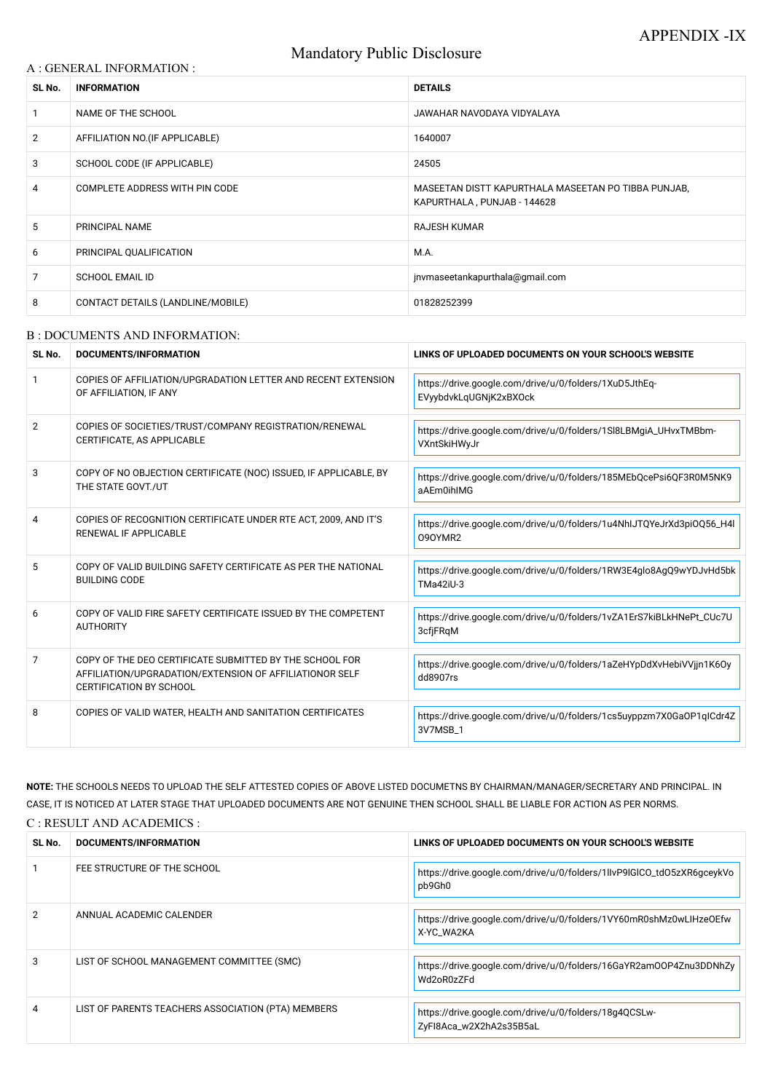# Mandatory Public Disclosure

#### A : GENERAL INFORMATION :

| SL No.         | <b>INFORMATION</b>                | <b>DETAILS</b>                                                                     |
|----------------|-----------------------------------|------------------------------------------------------------------------------------|
|                | NAME OF THE SCHOOL                | JAWAHAR NAVODAYA VIDYALAYA                                                         |
| $\overline{2}$ | AFFILIATION NO. (IF APPLICABLE)   | 1640007                                                                            |
| 3              | SCHOOL CODE (IF APPLICABLE)       | 24505                                                                              |
| 4              | COMPLETE ADDRESS WITH PIN CODE    | MASEETAN DISTT KAPURTHALA MASEETAN PO TIBBA PUNJAB,<br>KAPURTHALA, PUNJAB - 144628 |
| 5              | <b>PRINCIPAL NAME</b>             | <b>RAJESH KUMAR</b>                                                                |
| 6              | PRINCIPAL QUALIFICATION           | M.A.                                                                               |
| 7              | <b>SCHOOL EMAIL ID</b>            | jnvmaseetankapurthala@gmail.com                                                    |
| 8              | CONTACT DETAILS (LANDLINE/MOBILE) | 01828252399                                                                        |

#### B : DOCUMENTS AND INFORMATION:

| SL No.         | DOCUMENTS/INFORMATION                                                                                                                                | LINKS OF UPLOADED DOCUMENTS ON YOUR SCHOOL'S WEBSITE                             |
|----------------|------------------------------------------------------------------------------------------------------------------------------------------------------|----------------------------------------------------------------------------------|
| $\mathbf 1$    | COPIES OF AFFILIATION/UPGRADATION LETTER AND RECENT EXTENSION<br>OF AFFILIATION, IF ANY                                                              | https://drive.google.com/drive/u/0/folders/1XuD5JthEq-<br>EVyybdvkLqUGNjK2xBXOck |
| $\overline{2}$ | COPIES OF SOCIETIES/TRUST/COMPANY REGISTRATION/RENEWAL<br>CERTIFICATE, AS APPLICABLE                                                                 | https://drive.google.com/drive/u/0/folders/1Sl8LBMgiA_UHvxTMBbm-<br>VXntSkiHWyJr |
| 3              | COPY OF NO OBJECTION CERTIFICATE (NOC) ISSUED, IF APPLICABLE, BY<br>THE STATE GOVT./UT                                                               | https://drive.google.com/drive/u/0/folders/185MEbQcePsi6QF3R0M5NK9<br>aAEm0ihIMG |
| 4              | COPIES OF RECOGNITION CERTIFICATE UNDER RTE ACT, 2009, AND IT'S<br>RENEWAL IF APPLICABLE                                                             | https://drive.google.com/drive/u/0/folders/1u4NhIJTQYeJrXd3piOQ56_H4l<br>090YMR2 |
| 5              | COPY OF VALID BUILDING SAFETY CERTIFICATE AS PER THE NATIONAL<br><b>BUILDING CODE</b>                                                                | https://drive.google.com/drive/u/0/folders/1RW3E4glo8AgQ9wYDJvHd5bk<br>TMa42iU-3 |
| 6              | COPY OF VALID FIRE SAFETY CERTIFICATE ISSUED BY THE COMPETENT<br><b>AUTHORITY</b>                                                                    | https://drive.google.com/drive/u/0/folders/1vZA1ErS7kiBLkHNePt_CUc7U<br>3cfjFRqM |
| $\overline{7}$ | COPY OF THE DEO CERTIFICATE SUBMITTED BY THE SCHOOL FOR<br>AFFILIATION/UPGRADATION/EXTENSION OF AFFILIATIONOR SELF<br><b>CERTIFICATION BY SCHOOL</b> | https://drive.google.com/drive/u/0/folders/1aZeHYpDdXvHebiVVjjn1K6Oy<br>dd8907rs |
| 8              | COPIES OF VALID WATER, HEALTH AND SANITATION CERTIFICATES                                                                                            | https://drive.google.com/drive/u/0/folders/1cs5uyppzm7X0GaOP1qlCdr4Z<br>3V7MSB_1 |

**NOTE:** THE SCHOOLS NEEDS TO UPLOAD THE SELF ATTESTED COPIES OF ABOVE LISTED DOCUMETNS BY CHAIRMAN/MANAGER/SECRETARY AND PRINCIPAL. IN CASE, IT IS NOTICED AT LATER STAGE THAT UPLOADED DOCUMENTS ARE NOT GENUINE THEN SCHOOL SHALL BE LIABLE FOR ACTION AS PER NORMS. C : RESULT AND ACADEMICS :

| SL No. | DOCUMENTS/INFORMATION                              | LINKS OF UPLOADED DOCUMENTS ON YOUR SCHOOL'S WEBSITE                             |
|--------|----------------------------------------------------|----------------------------------------------------------------------------------|
|        | FEE STRUCTURE OF THE SCHOOL                        | https://drive.google.com/drive/u/0/folders/1llvP9lGlCO_tdO5zXR6gceykVo<br>pb9Gh0 |
| 2      | ANNUAL ACADEMIC CALENDER                           | https://drive.google.com/drive/u/0/folders/1VY60mR0shMz0wLIHzeOEfw<br>X-YC_WA2KA |
| 3      | LIST OF SCHOOL MANAGEMENT COMMITTEE (SMC)          | https://drive.google.com/drive/u/0/folders/16GaYR2am00P4Znu3DDNhZy<br>Wd2oR0zZFd |
| 4      | LIST OF PARENTS TEACHERS ASSOCIATION (PTA) MEMBERS | https://drive.google.com/drive/u/0/folders/18g4QCSLw-<br>ZyFI8Aca_w2X2hA2s35B5aL |